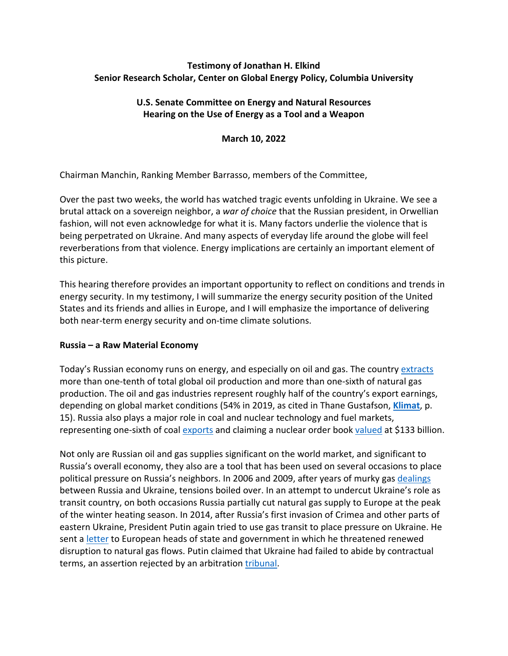# **Testimony of Jonathan H. Elkind Senior Research Scholar, Center on Global Energy Policy, Columbia University**

# **U.S. Senate Committee on Energy and Natural Resources Hearing on the Use of Energy as a Tool and a Weapon**

**March 10, 2022**

Chairman Manchin, Ranking Member Barrasso, members of the Committee,

Over the past two weeks, the world has watched tragic events unfolding in Ukraine. We see a brutal attack on a sovereign neighbor, a *war of choice* that the Russian president, in Orwellian fashion, will not even acknowledge for what it is. Many factors underlie the violence that is being perpetrated on Ukraine. And many aspects of everyday life around the globe will feel reverberations from that violence. Energy implications are certainly an important element of this picture.

This hearing therefore provides an important opportunity to reflect on conditions and trends in energy security. In my testimony, I will summarize the energy security position of the United States and its friends and allies in Europe, and I will emphasize the importance of delivering both near-term energy security and on-time climate solutions.

# **Russia – a Raw Material Economy**

Today's Russian economy runs on energy, and especially on oil and gas. The country [extracts](https://www.iea.org/data-and-statistics/data-browser?country=WORLD&fuel=Energy%20supply&indicator=TESbySource) more than one-tenth of total global oil production and more than one-sixth of natural gas production. The oil and gas industries represent roughly half of the country's export earnings, depending on global market conditions (54% in 2019, as cited in Thane Gustafson, **[Klimat](https://www.hup.harvard.edu/catalog.php?isbn=9780674247437)**, p. 15). Russia also plays a major role in coal and nuclear technology and fuel markets, representing one-sixth of coal [exports](https://www.iea.org/data-and-statistics/data-browser?country=RUSSIA&fuel=Coal&indicator=CoalImportsExports) and claiming a nuclear order book [valued](https://www.energy.gov/sites/prod/files/2020/04/f74/Restoring%20America%27s%20Competitive%20Nuclear%20Advantage-Blue%20version%5B1%5D.pdf) at \$133 billion.

Not only are Russian oil and gas supplies significant on the world market, and significant to Russia's overall economy, they also are a tool that has been used on several occasions to place political pressure on Russia's neighbors. In 2006 and 2009, after years of murky gas [dealings](http://csis-website-prod.s3.amazonaws.com/s3fs-public/legacy_files/files/publication/twq09januarychowelkind.pdf) between Russia and Ukraine, tensions boiled over. In an attempt to undercut Ukraine's role as transit country, on both occasions Russia partially cut natural gas supply to Europe at the peak of the winter heating season. In 2014, after Russia's first invasion of Crimea and other parts of eastern Ukraine, President Putin again tried to use gas transit to place pressure on Ukraine. He sent a [letter](https://www.bbc.com/news/world-europe-26975204) to European heads of state and government in which he threatened renewed disruption to natural gas flows. Putin claimed that Ukraine had failed to abide by contractual terms, an assertion rejected by an arbitration [tribunal.](https://www.reuters.com/article/us-ukraine-russia-gas/ukraines-naftogaz-defeats-appeal-by-gazprom-against-stockholm-arbitration-ruling-idUSKBN1Y114M)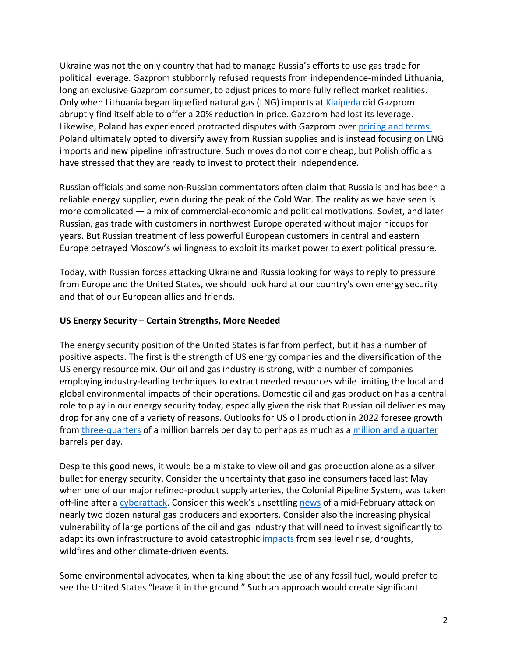Ukraine was not the only country that had to manage Russia's efforts to use gas trade for political leverage. Gazprom stubbornly refused requests from independence-minded Lithuania, long an exclusive Gazprom consumer, to adjust prices to more fully reflect market realities. Only when Lithuania began liquefied natural gas (LNG) imports at [Klaipeda](https://www.nytimes.com/2014/10/28/business/energy-environment/lithuania-offers-example-of-how-to-break-russias-grip-on-energy.html) did Gazprom abruptly find itself able to offer a 20% reduction in price. Gazprom had lost its leverage. Likewise, Poland has experienced protracted disputes with Gazprom over [pricing and terms.](https://www.oxfordenergy.org/wpcms/wp-content/uploads/2020/06/Russian-Poland-gas-relationship-risks-and-uncertainties-Insight-70.pdf) Poland ultimately opted to diversify away from Russian supplies and is instead focusing on LNG imports and new pipeline infrastructure. Such moves do not come cheap, but Polish officials have stressed that they are ready to invest to protect their independence.

Russian officials and some non-Russian commentators often claim that Russia is and has been a reliable energy supplier, even during the peak of the Cold War. The reality as we have seen is more complicated — a mix of commercial-economic and political motivations. Soviet, and later Russian, gas trade with customers in northwest Europe operated without major hiccups for years. But Russian treatment of less powerful European customers in central and eastern Europe betrayed Moscow's willingness to exploit its market power to exert political pressure.

Today, with Russian forces attacking Ukraine and Russia looking for ways to reply to pressure from Europe and the United States, we should look hard at our country's own energy security and that of our European allies and friends.

# **US Energy Security – Certain Strengths, More Needed**

The energy security position of the United States is far from perfect, but it has a number of positive aspects. The first is the strength of US energy companies and the diversification of the US energy resource mix. Our oil and gas industry is strong, with a number of companies employing industry-leading techniques to extract needed resources while limiting the local and global environmental impacts of their operations. Domestic oil and gas production has a central role to play in our energy security today, especially given the risk that Russian oil deliveries may drop for any one of a variety of reasons. Outlooks for US oil production in 2022 foresee growth from [three-quarters](https://www.eia.gov/todayinenergy/detail.php?id=51318#:%7E:text=In%20the%20February%20STEO%2C%20we,average%2012.6%20million%20b%2Fd.) of a million barrels per day to perhaps as much as a [million and a quarter](https://www.iea.org/reports/oil-market-report-february-2022?mode=overview) barrels per day.

Despite this good news, it would be a mistake to view oil and gas production alone as a silver bullet for energy security. Consider the uncertainty that gasoline consumers faced last May when one of our major refined-product supply arteries, the Colonial Pipeline System, was taken off-line after a [cyberattack.](https://www.reuters.com/business/colonial-pipeline-ceo-tells-senate-cyber-defenses-were-compromised-ahead-hack-2021-06-08/) Consider this week's unsettling [news](https://www.bloomberg.com/news/articles/2022-03-07/hackers-targeted-u-s-lng-producers-in-run-up-to-war-in-ukraine) of a mid-February attack on nearly two dozen natural gas producers and exporters. Consider also the increasing physical vulnerability of large portions of the oil and gas industry that will need to invest significantly to adapt its own infrastructure to avoid catastrophic [impacts](https://www.wsj.com/articles/big-oil-is-vulnerable-to-climate-change-literally-11627637435) from sea level rise, droughts, wildfires and other climate-driven events.

Some environmental advocates, when talking about the use of any fossil fuel, would prefer to see the United States "leave it in the ground." Such an approach would create significant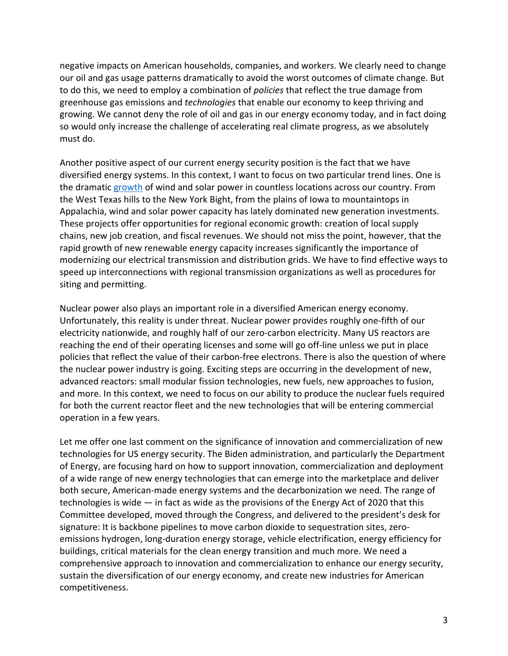negative impacts on American households, companies, and workers. We clearly need to change our oil and gas usage patterns dramatically to avoid the worst outcomes of climate change. But to do this, we need to employ a combination of *policies* that reflect the true damage from greenhouse gas emissions and *technologies* that enable our economy to keep thriving and growing. We cannot deny the role of oil and gas in our energy economy today, and in fact doing so would only increase the challenge of accelerating real climate progress, as we absolutely must do.

Another positive aspect of our current energy security position is the fact that we have diversified energy systems. In this context, I want to focus on two particular trend lines. One is the dramatic [growth](https://www.eia.gov/todayinenergy/detail.php?id=50918) of wind and solar power in countless locations across our country. From the West Texas hills to the New York Bight, from the plains of Iowa to mountaintops in Appalachia, wind and solar power capacity has lately dominated new generation investments. These projects offer opportunities for regional economic growth: creation of local supply chains, new job creation, and fiscal revenues. We should not miss the point, however, that the rapid growth of new renewable energy capacity increases significantly the importance of modernizing our electrical transmission and distribution grids. We have to find effective ways to speed up interconnections with regional transmission organizations as well as procedures for siting and permitting.

Nuclear power also plays an important role in a diversified American energy economy. Unfortunately, this reality is under threat. Nuclear power provides roughly one-fifth of our electricity nationwide, and roughly half of our zero-carbon electricity. Many US reactors are reaching the end of their operating licenses and some will go off-line unless we put in place policies that reflect the value of their carbon-free electrons. There is also the question of where the nuclear power industry is going. Exciting steps are occurring in the development of new, advanced reactors: small modular fission technologies, new fuels, new approaches to fusion, and more. In this context, we need to focus on our ability to produce the nuclear fuels required for both the current reactor fleet and the new technologies that will be entering commercial operation in a few years.

Let me offer one last comment on the significance of innovation and commercialization of new technologies for US energy security. The Biden administration, and particularly the Department of Energy, are focusing hard on how to support innovation, commercialization and deployment of a wide range of new energy technologies that can emerge into the marketplace and deliver both secure, American-made energy systems and the decarbonization we need. The range of technologies is wide — in fact as wide as the provisions of the Energy Act of 2020 that this Committee developed, moved through the Congress, and delivered to the president's desk for signature: It is backbone pipelines to move carbon dioxide to sequestration sites, zeroemissions hydrogen, long-duration energy storage, vehicle electrification, energy efficiency for buildings, critical materials for the clean energy transition and much more. We need a comprehensive approach to innovation and commercialization to enhance our energy security, sustain the diversification of our energy economy, and create new industries for American competitiveness.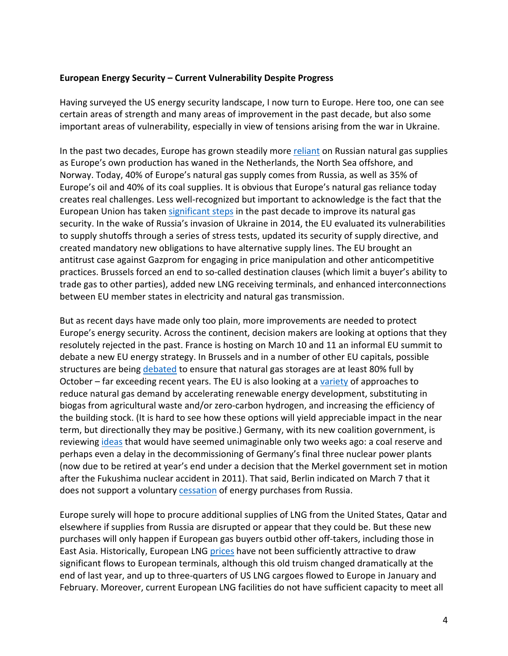#### **European Energy Security – Current Vulnerability Despite Progress**

Having surveyed the US energy security landscape, I now turn to Europe. Here too, one can see certain areas of strength and many areas of improvement in the past decade, but also some important areas of vulnerability, especially in view of tensions arising from the war in Ukraine.

In the past two decades, Europe has grown steadily more [reliant](https://www.bloomberg.com/news/articles/2022-03-06/ukraine-war-exposes-europe-failure-to-heed-warnings-over-russia-gas) on Russian natural gas supplies as Europe's own production has waned in the Netherlands, the North Sea offshore, and Norway. Today, 40% of Europe's natural gas supply comes from Russia, as well as 35% of Europe's oil and 40% of its coal supplies. It is obvious that Europe's natural gas reliance today creates real challenges. Less well-recognized but important to acknowledge is the fact that the European Union has taken [significant steps](https://www.energypolicy.columbia.edu/research/commentary/talking-past-each-other-transatlantic-perspectives-european-gas-security) in the past decade to improve its natural gas security. In the wake of Russia's invasion of Ukraine in 2014, the EU evaluated its vulnerabilities to supply shutoffs through a series of stress tests, updated its security of supply directive, and created mandatory new obligations to have alternative supply lines. The EU brought an antitrust case against Gazprom for engaging in price manipulation and other anticompetitive practices. Brussels forced an end to so-called destination clauses (which limit a buyer's ability to trade gas to other parties), added new LNG receiving terminals, and enhanced interconnections between EU member states in electricity and natural gas transmission.

But as recent days have made only too plain, more improvements are needed to protect Europe's energy security. Across the continent, decision makers are looking at options that they resolutely rejected in the past. France is hosting on March 10 and 11 an informal EU summit to debate a new EU energy strategy. In Brussels and in a number of other EU capitals, possible structures are being [debated](https://www.ft.com/content/c683136c-8067-439a-9162-2baea2723c20?desktop=true&segmentId=7c8f09b9-9b61-4fbb-9430-9208a9e233c8#myft:notification:daily-email:content) to ensure that natural gas storages are at least 80% full by October – far exceeding recent years. The EU is also looking at a [variety](https://www.euractiv.com/section/energy/news/leak-eu-drafts-plan-to-ditch-russian-gas/) of approaches to reduce natural gas demand by accelerating renewable energy development, substituting in biogas from agricultural waste and/or zero-carbon hydrogen, and increasing the efficiency of the building stock. (It is hard to see how these options will yield appreciable impact in the near term, but directionally they may be positive.) Germany, with its new coalition government, is reviewing [ideas](https://www.reuters.com/business/energy/ukraine-russia-crisis-forces-germany-rethink-coal-exit-2022-03-02/) that would have seemed unimaginable only two weeks ago: a coal reserve and perhaps even a delay in the decommissioning of Germany's final three nuclear power plants (now due to be retired at year's end under a decision that the Merkel government set in motion after the Fukushima nuclear accident in 2011). That said, Berlin indicated on March 7 that it does not support a voluntary **cessation** of energy purchases from Russia.

Europe surely will hope to procure additional supplies of LNG from the United States, Qatar and elsewhere if supplies from Russia are disrupted or appear that they could be. But these new purchases will only happen if European gas buyers outbid other off-takers, including those in East Asia. Historically, European LNG [prices](https://www.eia.gov/todayinenergy/detail.php?id=51358) have not been sufficiently attractive to draw significant flows to European terminals, although this old truism changed dramatically at the end of last year, and up to three-quarters of US LNG cargoes flowed to Europe in January and February. Moreover, current European LNG facilities do not have sufficient capacity to meet all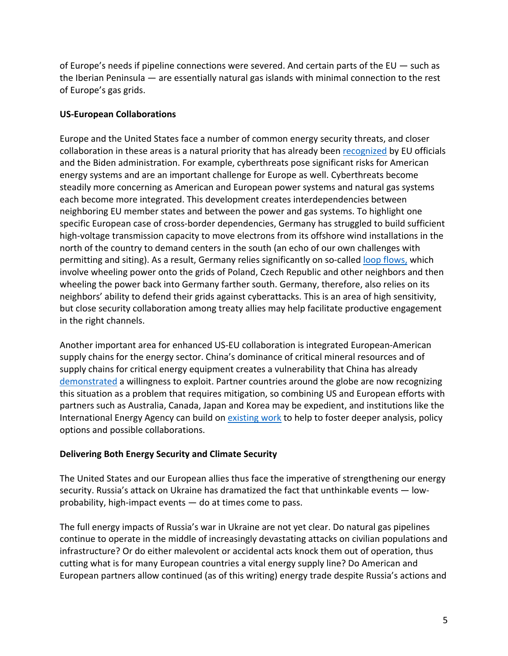of Europe's needs if pipeline connections were severed. And certain parts of the EU — such as the Iberian Peninsula — are essentially natural gas islands with minimal connection to the rest of Europe's gas grids.

# **US-European Collaborations**

Europe and the United States face a number of common energy security threats, and closer collaboration in these areas is a natural priority that has already been [recognized](https://www.state.gov/joint-statement-on-the-u-s-eu-energy-council/) by EU officials and the Biden administration. For example, cyberthreats pose significant risks for American energy systems and are an important challenge for Europe as well. Cyberthreats become steadily more concerning as American and European power systems and natural gas systems each become more integrated. This development creates interdependencies between neighboring EU member states and between the power and gas systems. To highlight one specific European case of cross-border dependencies, Germany has struggled to build sufficient high-voltage transmission capacity to move electrons from its offshore wind installations in the north of the country to demand centers in the south (an echo of our own challenges with permitting and siting). As a result, Germany relies significantly on so-called [loop flows,](https://documents.acer.europa.eu/Official_documents/Acts_of_the_Agency/Publication/ACER%20Market%20Monitoring%20Report%202019%20-%20Electricity%20Wholesale%20Markets%20Volume.pdf) which involve wheeling power onto the grids of Poland, Czech Republic and other neighbors and then wheeling the power back into Germany farther south. Germany, therefore, also relies on its neighbors' ability to defend their grids against cyberattacks. This is an area of high sensitivity, but close security collaboration among treaty allies may help facilitate productive engagement in the right channels.

Another important area for enhanced US-EU collaboration is integrated European-American supply chains for the energy sector. China's dominance of critical mineral resources and of supply chains for critical energy equipment creates a vulnerability that China has already [demonstrated](https://chinapower.csis.org/china-rare-earths/) a willingness to exploit. Partner countries around the globe are now recognizing this situation as a problem that requires mitigation, so combining US and European efforts with partners such as Australia, Canada, Japan and Korea may be expedient, and institutions like the International Energy Agency can build on **existing work** to help to foster deeper analysis, policy options and possible collaborations.

# **Delivering Both Energy Security and Climate Security**

The United States and our European allies thus face the imperative of strengthening our energy security. Russia's attack on Ukraine has dramatized the fact that unthinkable events — lowprobability, high-impact events — do at times come to pass.

The full energy impacts of Russia's war in Ukraine are not yet clear. Do natural gas pipelines continue to operate in the middle of increasingly devastating attacks on civilian populations and infrastructure? Or do either malevolent or accidental acts knock them out of operation, thus cutting what is for many European countries a vital energy supply line? Do American and European partners allow continued (as of this writing) energy trade despite Russia's actions and